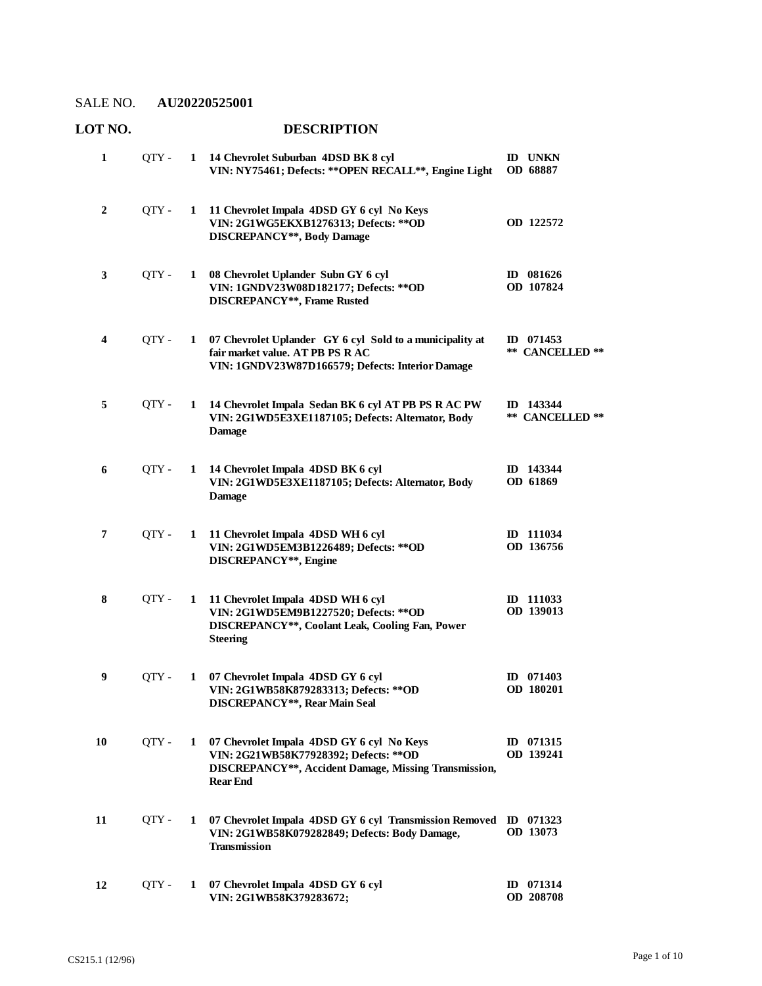| 1                       | QTY - |              | 1 14 Chevrolet Suburban 4DSD BK 8 cyl<br>VIN: NY75461; Defects: ** OPEN RECALL**, Engine Light                                                                  | <b>ID UNKN</b><br>OD 68887      |
|-------------------------|-------|--------------|-----------------------------------------------------------------------------------------------------------------------------------------------------------------|---------------------------------|
| $\boldsymbol{2}$        | QTY - | $\mathbf{1}$ | 11 Chevrolet Impala 4DSD GY 6 cyl No Keys<br>VIN: 2G1WG5EKXB1276313; Defects: ** OD<br><b>DISCREPANCY**, Body Damage</b>                                        | OD 122572                       |
| 3                       | QTY-  | 1            | 08 Chevrolet Uplander Subn GY 6 cyl<br>VIN: 1GNDV23W08D182177; Defects: ** OD<br>DISCREPANCY**, Frame Rusted                                                    | ID 081626<br>OD 107824          |
| $\overline{\mathbf{4}}$ | QTY - | 1            | 07 Chevrolet Uplander GY 6 cyl Sold to a municipality at<br>fair market value. AT PB PS RAC<br>VIN: 1GNDV23W87D166579; Defects: Interior Damage                 | ID $071453$<br>** CANCELLED **  |
| 5                       | QTY - | $\mathbf{1}$ | 14 Chevrolet Impala Sedan BK 6 cyl AT PB PS R AC PW<br>VIN: 2G1WD5E3XE1187105; Defects: Alternator, Body<br><b>Damage</b>                                       | ID 143344<br>** CANCELLED **    |
| 6                       | OTY - | 1            | 14 Chevrolet Impala 4DSD BK 6 cyl<br>VIN: 2G1WD5E3XE1187105; Defects: Alternator, Body<br><b>Damage</b>                                                         | ID 143344<br>OD 61869           |
| $\overline{7}$          | QTY - | 1            | 11 Chevrolet Impala 4DSD WH 6 cyl<br>VIN: 2G1WD5EM3B1226489; Defects: ** OD<br>DISCREPANCY**, Engine                                                            | ID 111034<br>OD 136756          |
| 8                       | QTY - | 1            | 11 Chevrolet Impala 4DSD WH 6 cyl<br>VIN: 2G1WD5EM9B1227520; Defects: ** OD<br><b>DISCREPANCY**, Coolant Leak, Cooling Fan, Power</b><br><b>Steering</b>        | ID 111033<br>OD 139013          |
| $\boldsymbol{9}$        | QTY - | 1            | 07 Chevrolet Impala 4DSD GY 6 cyl<br>VIN: 2G1WB58K879283313; Defects: ** OD<br>DISCREPANCY**, Rear Main Seal                                                    | ID $071403$<br><b>OD</b> 180201 |
| 10                      | QTY - | 1            | 07 Chevrolet Impala 4DSD GY 6 cyl No Keys<br>VIN: 2G21WB58K77928392; Defects: ** OD<br>DISCREPANCY**, Accident Damage, Missing Transmission,<br><b>Rear End</b> | ID 071315<br>OD 139241          |
| 11                      | QTY - | 1            | 07 Chevrolet Impala 4DSD GY 6 cyl Transmission Removed ID 071323<br>VIN: 2G1WB58K079282849; Defects: Body Damage,<br><b>Transmission</b>                        | OD 13073                        |
| 12                      | QTY - | 1            | 07 Chevrolet Impala 4DSD GY 6 cyl<br>VIN: 2G1WB58K379283672;                                                                                                    | ID 071314<br>OD 208708          |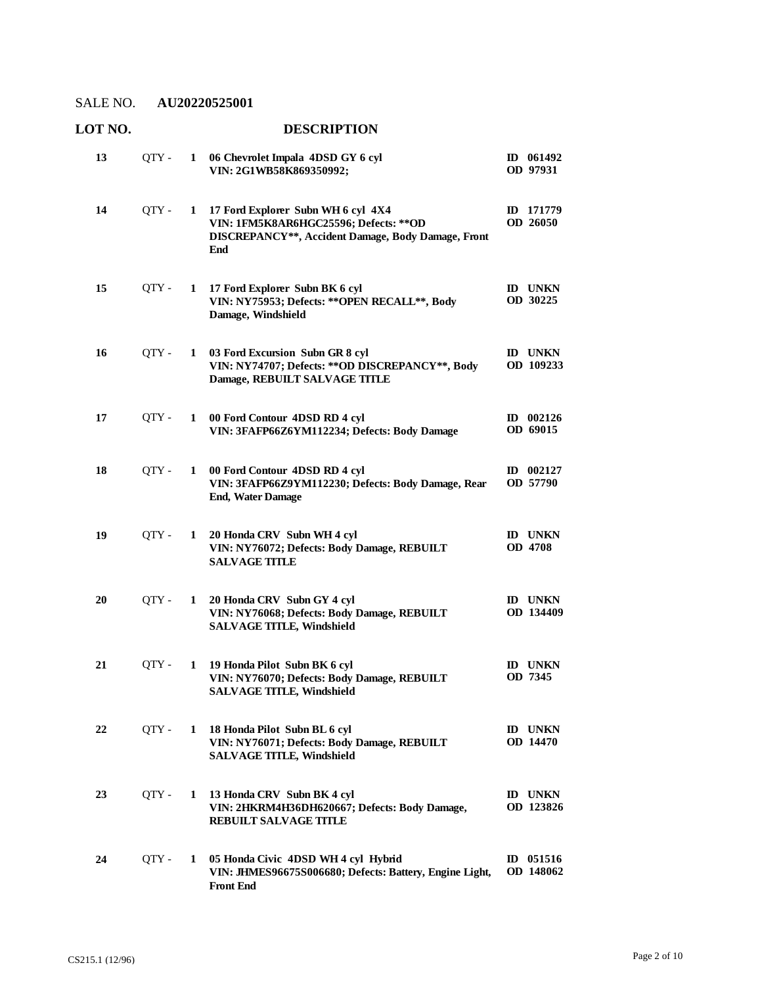**LOT NO. DESCRIPTION**

#### **06 Chevrolet Impala 4DSD GY 6 cyl**  QTY - **1 ID 061492 VIN: 2G1WB58K869350992; OD 97931 13 17 Ford Explorer Subn WH 6 cyl 4X4**  QTY - **1 ID 171779 VIN: 1FM5K8AR6HGC25596; Defects: \*\*OD DISCREPANCY\*\*, Accident Damage, Body Damage, Front End OD 26050 14 17 Ford Explorer Subn BK 6 cyl**  QTY - **1 ID UNKN VIN: NY75953; Defects: \*\*OPEN RECALL\*\*, Body Damage, Windshield OD 30225 15 03 Ford Excursion Subn GR 8 cyl**  QTY - **1 ID UNKN VIN: NY74707; Defects: \*\*OD DISCREPANCY\*\*, Body Damage, REBUILT SALVAGE TITLE OD 109233 16 00 Ford Contour 4DSD RD 4 cyl**  QTY - **1 ID 002126 VIN: 3FAFP66Z6YM112234; Defects: Body Damage OD 69015 17 00 Ford Contour 4DSD RD 4 cyl**  QTY - **1 ID 002127 VIN: 3FAFP66Z9YM112230; Defects: Body Damage, Rear End, Water Damage OD 57790 18 20 Honda CRV Subn WH 4 cyl**  QTY - **1 ID UNKN VIN: NY76072; Defects: Body Damage, REBUILT SALVAGE TITLE OD 4708 19 20 Honda CRV Subn GY 4 cyl**  QTY - **1 ID UNKN VIN: NY76068; Defects: Body Damage, REBUILT SALVAGE TITLE, Windshield OD 134409 20 19 Honda Pilot Subn BK 6 cyl**  QTY - **1 ID UNKN VIN: NY76070; Defects: Body Damage, REBUILT SALVAGE TITLE, Windshield OD 7345 21 18 Honda Pilot Subn BL 6 cyl**  QTY - **1 ID UNKN VIN: NY76071; Defects: Body Damage, REBUILT SALVAGE TITLE, Windshield OD 14470 22 13 Honda CRV Subn BK 4 cyl**  QTY - **1 ID UNKN VIN: 2HKRM4H36DH620667; Defects: Body Damage, REBUILT SALVAGE TITLE OD 123826 23 05 Honda Civic 4DSD WH 4 cyl Hybrid**  QTY - **1 ID 051516 VIN: JHMES96675S006680; Defects: Battery, Engine Light, Front End OD 148062 24**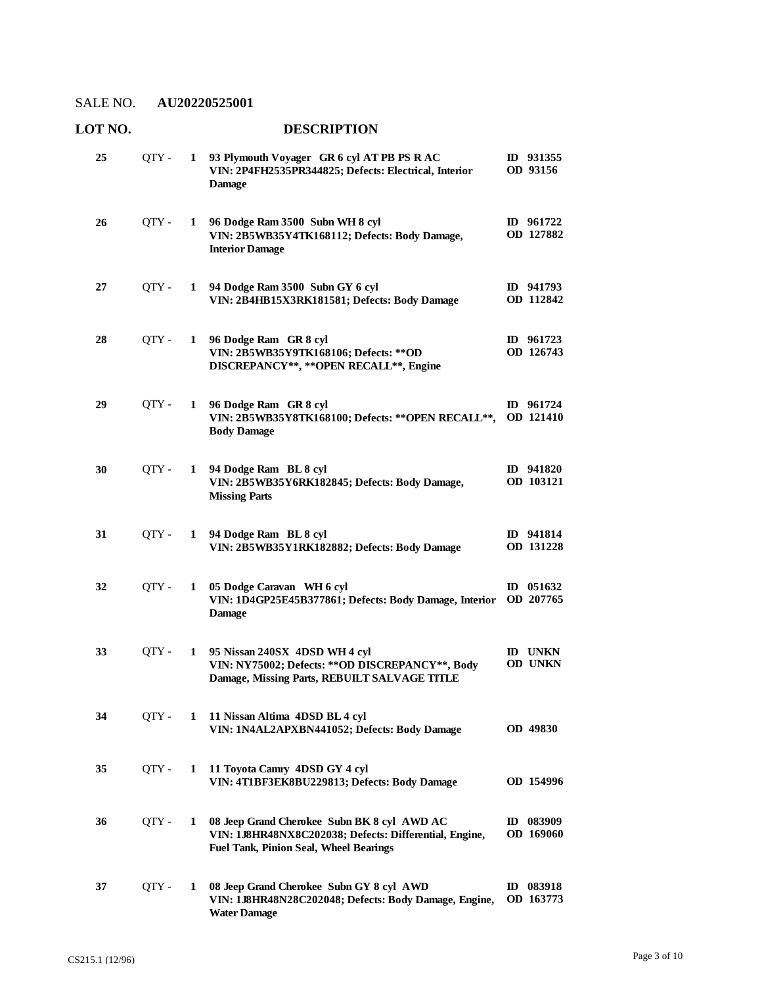**LOT NO. DESCRIPTION**

#### **93 Plymouth Voyager GR 6 cyl AT PB PS R AC**  QTY - **1 ID 931355 VIN: 2P4FH2535PR344825; Defects: Electrical, Interior Damage OD 93156 25 96 Dodge Ram 3500 Subn WH 8 cyl**  QTY - **1 ID 961722 VIN: 2B5WB35Y4TK168112; Defects: Body Damage, Interior Damage OD 127882 26 94 Dodge Ram 3500 Subn GY 6 cyl**  QTY - **1 ID 941793 VIN: 2B4HB15X3RK181581; Defects: Body Damage OD 112842 27 96 Dodge Ram GR 8 cyl**  QTY - **1 ID 961723 VIN: 2B5WB35Y9TK168106; Defects: \*\*OD DISCREPANCY\*\*, \*\*OPEN RECALL\*\*, Engine OD 126743 28 96 Dodge Ram GR 8 cyl**  QTY - **1 ID 961724 VIN: 2B5WB35Y8TK168100; Defects: \*\*OPEN RECALL\*\*, OD 121410 Body Damage 29 94 Dodge Ram BL 8 cyl**  QTY - **1 ID 941820 VIN: 2B5WB35Y6RK182845; Defects: Body Damage, Missing Parts OD 103121 30 94 Dodge Ram BL 8 cyl**  QTY - **1 ID 941814 VIN: 2B5WB35Y1RK182882; Defects: Body Damage OD 131228 31 05 Dodge Caravan WH 6 cyl**  QTY - **1 ID 051632 VIN: 1D4GP25E45B377861; Defects: Body Damage, Interior Damage OD 207765 32 95 Nissan 240SX 4DSD WH 4 cyl**  QTY - **1 ID UNKN VIN: NY75002; Defects: \*\*OD DISCREPANCY\*\*, Body Damage, Missing Parts, REBUILT SALVAGE TITLE OD UNKN 33 11 Nissan Altima 4DSD BL 4 cyl VIN: 1N4AL2APXBN441052; Defects: Body Damage** QTY - **1 OD 49830 34 11 Toyota Camry 4DSD GY 4 cyl VIN: 4T1BF3EK8BU229813; Defects: Body Damage** QTY - **1 OD 154996 35 08 Jeep Grand Cherokee Subn BK 8 cyl AWD AC**  QTY - **1 ID 083909 VIN: 1J8HR48NX8C202038; Defects: Differential, Engine, Fuel Tank, Pinion Seal, Wheel Bearings OD 169060 36 08 Jeep Grand Cherokee Subn GY 8 cyl AWD**  QTY - **1 ID 083918 VIN: 1J8HR48N28C202048; Defects: Body Damage, Engine, OD 163773 Water Damage 37**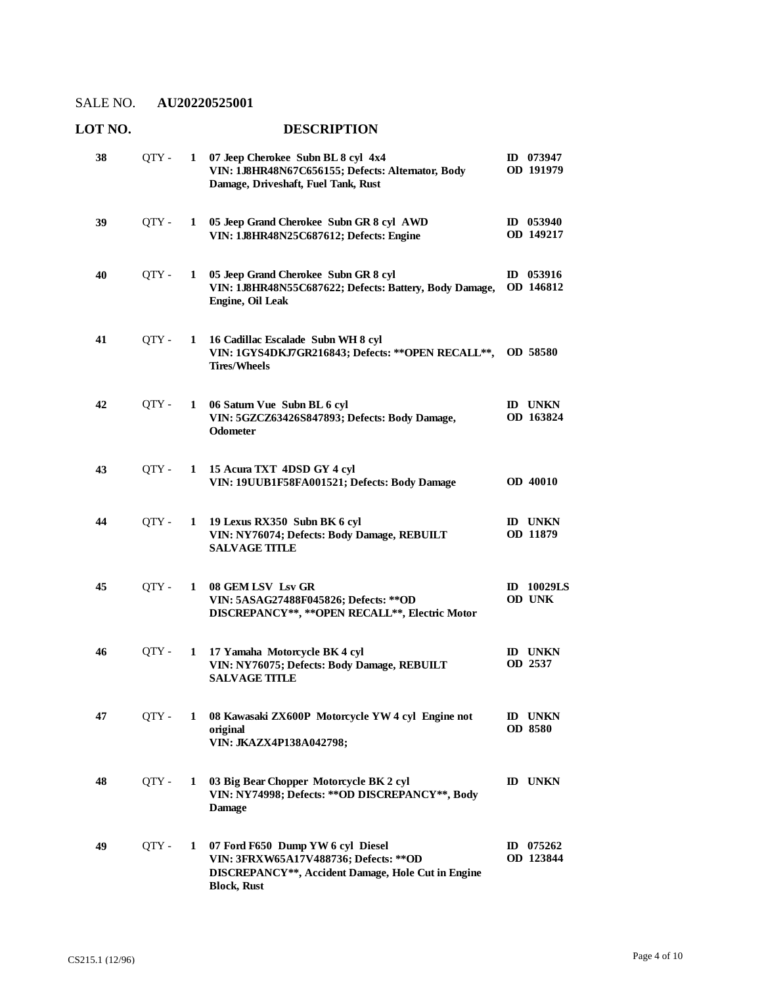| 38 | QTY -   | 1            | 07 Jeep Cherokee Subn BL 8 cyl 4x4<br>VIN: 1J8HR48N67C656155; Defects: Alternator, Body<br>Damage, Driveshaft, Fuel Tank, Rust                                       | ID 073947<br>OD 191979             |
|----|---------|--------------|----------------------------------------------------------------------------------------------------------------------------------------------------------------------|------------------------------------|
| 39 | QTY -   | 1            | 05 Jeep Grand Cherokee Subn GR 8 cyl AWD<br>VIN: 1J8HR48N25C687612; Defects: Engine                                                                                  | $ID$ 053940<br>OD 149217           |
| 40 | QTY -   | 1            | 05 Jeep Grand Cherokee Subn GR 8 cyl<br>VIN: 1J8HR48N55C687622; Defects: Battery, Body Damage,<br>Engine, Oil Leak                                                   | ID $053916$<br>OD 146812           |
| 41 | QTY -   | 1            | 16 Cadillac Escalade Subn WH 8 cyl<br>VIN: 1GYS4DKJ7GR216843; Defects: ** OPEN RECALL**, OD 58580<br><b>Tires/Wheels</b>                                             |                                    |
| 42 | OTY -   | 1            | 06 Saturn Vue Subn BL 6 cyl<br>VIN: 5GZCZ63426S847893; Defects: Body Damage,<br><b>Odometer</b>                                                                      | <b>ID UNKN</b><br>OD 163824        |
| 43 | $QTY$ - | $\mathbf{1}$ | 15 Acura TXT 4DSD GY 4 cyl<br>VIN: 19UUB1F58FA001521; Defects: Body Damage                                                                                           | <b>OD 40010</b>                    |
| 44 | QTY -   | 1            | 19 Lexus RX350 Subn BK 6 cyl<br>VIN: NY76074; Defects: Body Damage, REBUILT<br><b>SALVAGE TITLE</b>                                                                  | <b>ID UNKN</b><br>OD 11879         |
| 45 | QTY -   | 1            | 08 GEM LSV Lsv GR<br>VIN: 5ASAG27488F045826; Defects: ** OD<br>DISCREPANCY**, ** OPEN RECALL**, Electric Motor                                                       | <b>ID</b> 10029LS<br><b>OD UNK</b> |
| 46 | QTY-    | 1            | 17 Yamaha Motorcycle BK 4 cyl<br>VIN: NY76075; Defects: Body Damage, REBUILT<br><b>SALVAGE TITLE</b>                                                                 | <b>ID UNKN</b><br>OD 2537          |
| 47 | QTY -   | 1            | 08 Kawasaki ZX600P Motorcycle YW 4 cyl Engine not<br>original<br>VIN: JKAZX4P138A042798;                                                                             | <b>ID UNKN</b><br>OD 8580          |
| 48 | QTY -   | 1            | 03 Big Bear Chopper Motorcycle BK 2 cyl<br>VIN: NY74998; Defects: ** OD DISCREPANCY**, Body<br><b>Damage</b>                                                         | <b>ID UNKN</b>                     |
| 49 | QTY -   | 1            | 07 Ford F650 Dump YW 6 cyl Diesel<br>VIN: 3FRXW65A17V488736; Defects: ** OD<br>DISCREPANCY <sup>**</sup> , Accident Damage, Hole Cut in Engine<br><b>Block, Rust</b> | ID $075262$<br>OD 123844           |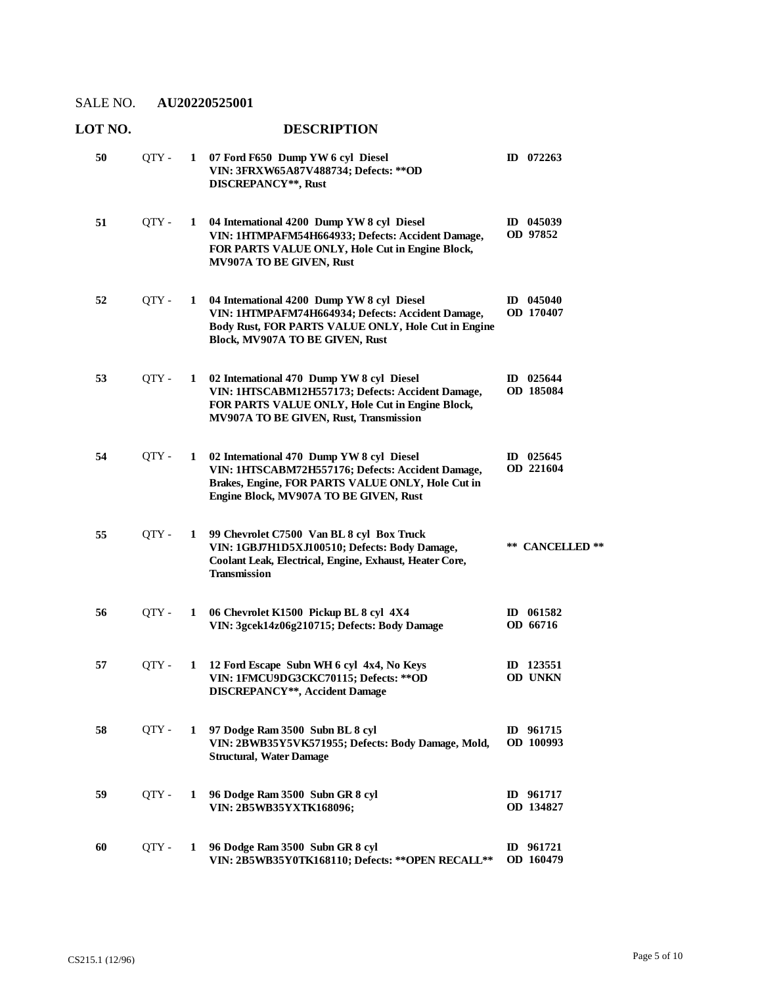#### **07 Ford F650 Dump YW 6 cyl Diesel 50** QTY - **1 ID 072263 VIN: 3FRXW65A87V488734; Defects: \*\*OD DISCREPANCY\*\*, Rust 04 International 4200 Dump YW 8 cyl Diesel**  QTY - **1 ID 045039 VIN: 1HTMPAFM54H664933; Defects: Accident Damage, FOR PARTS VALUE ONLY, Hole Cut in Engine Block, MV907A TO BE GIVEN, Rust OD 97852 51 04 International 4200 Dump YW 8 cyl Diesel**  QTY - **1 ID 045040 VIN: 1HTMPAFM74H664934; Defects: Accident Damage, Body Rust, FOR PARTS VALUE ONLY, Hole Cut in Engine Block, MV907A TO BE GIVEN, Rust OD 170407 52 02 International 470 Dump YW 8 cyl Diesel**  QTY - **1 ID 025644 VIN: 1HTSCABM12H557173; Defects: Accident Damage, FOR PARTS VALUE ONLY, Hole Cut in Engine Block, MV907A TO BE GIVEN, Rust, Transmission OD 185084 53 02 International 470 Dump YW 8 cyl Diesel**  QTY - **1 ID 025645 VIN: 1HTSCABM72H557176; Defects: Accident Damage, Brakes, Engine, FOR PARTS VALUE ONLY, Hole Cut in Engine Block, MV907A TO BE GIVEN, Rust OD 221604 54 99 Chevrolet C7500 Van BL 8 cyl Box Truck VIN: 1GBJ7H1D5XJ100510; Defects: Body Damage, Coolant Leak, Electrical, Engine, Exhaust, Heater Core, Transmission** QTY - **1 \*\* CANCELLED \*\* 55 06 Chevrolet K1500 Pickup BL 8 cyl 4X4**  QTY - **1 ID 061582 VIN: 3gcek14z06g210715; Defects: Body Damage OD 66716 56 12 Ford Escape Subn WH 6 cyl 4x4, No Keys**  QTY - **1 ID 123551 VIN: 1FMCU9DG3CKC70115; Defects: \*\*OD DISCREPANCY\*\*, Accident Damage OD UNKN 57 97 Dodge Ram 3500 Subn BL 8 cyl**  QTY - **1 ID 961715 VIN: 2BWB35Y5VK571955; Defects: Body Damage, Mold, Structural, Water Damage OD 100993 58 96 Dodge Ram 3500 Subn GR 8 cyl**  QTY - **1 ID 961717 VIN: 2B5WB35YXTK168096; OD 134827 59 96 Dodge Ram 3500 Subn GR 8 cyl**  QTY - **1 ID 961721 VIN: 2B5WB35Y0TK168110; Defects: \*\*OPEN RECALL\*\* OD 160479 60**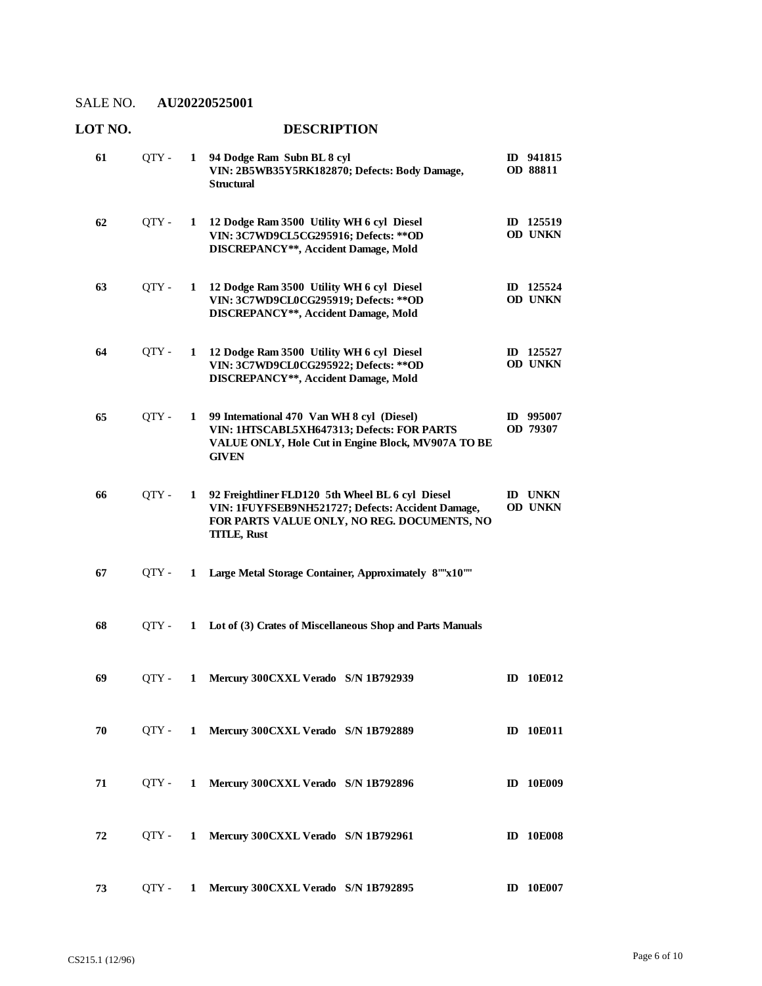| 61 | QTY - | 1            | 94 Dodge Ram Subn BL 8 cyl<br>VIN: 2B5WB35Y5RK182870; Defects: Body Damage,<br><b>Structural</b>                                                                           |    | ID 941815<br>OD 88811            |
|----|-------|--------------|----------------------------------------------------------------------------------------------------------------------------------------------------------------------------|----|----------------------------------|
| 62 | QTY - | 1            | 12 Dodge Ram 3500 Utility WH 6 cyl Diesel<br>VIN: 3C7WD9CL5CG295916; Defects: ** OD<br>DISCREPANCY**, Accident Damage, Mold                                                |    | ID 125519<br><b>OD UNKN</b>      |
| 63 | QTY - | 1            | 12 Dodge Ram 3500 Utility WH 6 cyl Diesel<br>VIN: 3C7WD9CL0CG295919; Defects: ** OD<br>DISCREPANCY**, Accident Damage, Mold                                                |    | ID 125524<br><b>OD UNKN</b>      |
| 64 | QTY - | 1            | 12 Dodge Ram 3500 Utility WH 6 cyl Diesel<br>VIN: 3C7WD9CL0CG295922; Defects: ** OD<br>DISCREPANCY**, Accident Damage, Mold                                                |    | ID 125527<br><b>OD UNKN</b>      |
| 65 | QTY - | 1            | 99 International 470 Van WH 8 cyl (Diesel)<br>VIN: 1HTSCABL5XH647313; Defects: FOR PARTS<br>VALUE ONLY, Hole Cut in Engine Block, MV907A TO BE<br><b>GIVEN</b>             |    | ID 995007<br>OD 79307            |
| 66 | QTY - | $\mathbf 1$  | 92 Freightliner FLD120 5th Wheel BL 6 cyl Diesel<br>VIN: 1FUYFSEB9NH521727; Defects: Accident Damage,<br>FOR PARTS VALUE ONLY, NO REG. DOCUMENTS, NO<br><b>TITLE, Rust</b> |    | <b>ID UNKN</b><br><b>OD UNKN</b> |
| 67 | QTY - | 1            | Large Metal Storage Container, Approximately 8""x10""                                                                                                                      |    |                                  |
| 68 | OTY - | 1            | Lot of (3) Crates of Miscellaneous Shop and Parts Manuals                                                                                                                  |    |                                  |
| 69 | OTY - | 1            | Mercury 300CXXL Verado S/N 1B792939                                                                                                                                        | ID | 10E012                           |
| 70 | OTY - |              | 1 Mercury 300CXXL Verado S/N 1B792889                                                                                                                                      |    | <b>ID</b> 10E011                 |
| 71 | OTY - | $\mathbf{1}$ | Mercury 300CXXL Verado S/N 1B792896                                                                                                                                        |    | <b>ID</b> 10E009                 |
| 72 | OTY - | 1            | Mercury 300CXXL Verado S/N 1B792961                                                                                                                                        |    | <b>ID</b> 10E008                 |
| 73 | OTY - | 1            | Mercury 300CXXL Verado S/N 1B792895                                                                                                                                        |    | <b>ID</b> 10E007                 |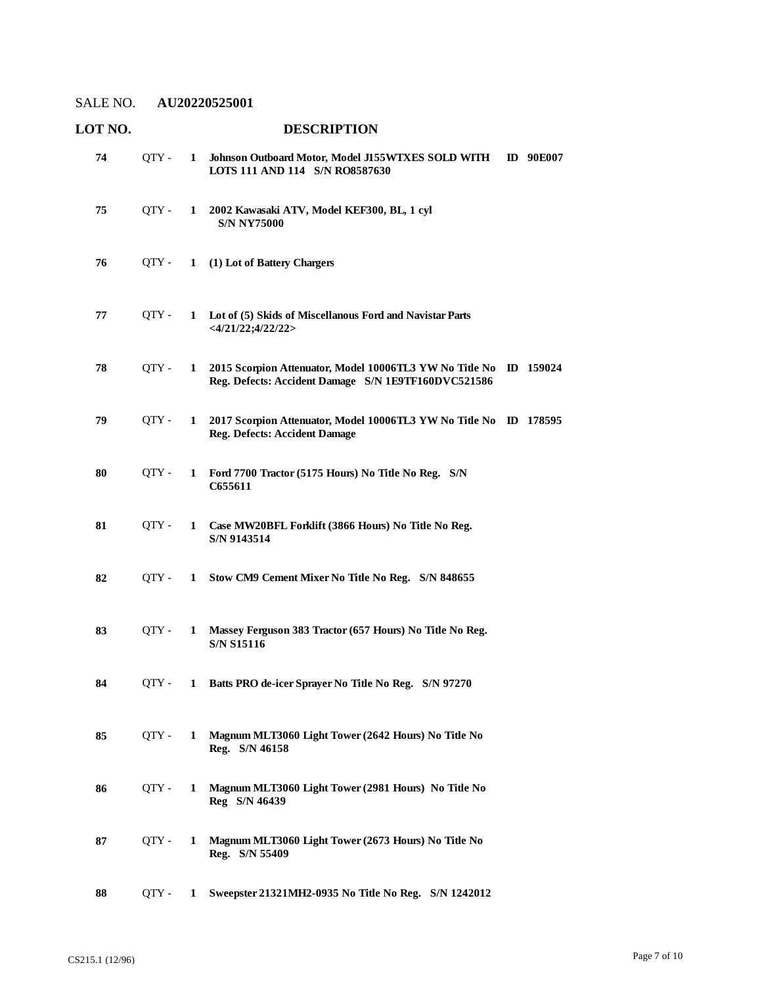| LOT NO. |       |              | <b>DESCRIPTION</b>                                                                                                       |                  |
|---------|-------|--------------|--------------------------------------------------------------------------------------------------------------------------|------------------|
| 74      | QTY - | $\mathbf{1}$ | Johnson Outboard Motor, Model J155WTXES SOLD WITH<br>LOTS 111 AND 114 S/N RO8587630                                      | <b>ID</b> 90E007 |
| 75      | QTY - | $\mathbf{1}$ | 2002 Kawasaki ATV, Model KEF300, BL, 1 cyl<br><b>S/N NY75000</b>                                                         |                  |
| 76      | QTY - | $\mathbf{1}$ | (1) Lot of Battery Chargers                                                                                              |                  |
| 77      | OTY - | 1            | Lot of (5) Skids of Miscellanous Ford and Navistar Parts<br>$<$ 4/21/22;4/22/22>                                         |                  |
| 78      | QTY - | 1            | 2015 Scorpion Attenuator, Model 10006TL3 YW No Title No ID 159024<br>Reg. Defects: Accident Damage S/N 1E9TF160DVC521586 |                  |
| 79      | QTY - | 1            | 2017 Scorpion Attenuator, Model 10006TL3 YW No Title No ID 178595<br><b>Reg. Defects: Accident Damage</b>                |                  |
| 80      | QTY - | 1            | Ford 7700 Tractor (5175 Hours) No Title No Reg. S/N<br>C655611                                                           |                  |
| 81      | QTY - | 1            | Case MW20BFL Forklift (3866 Hours) No Title No Reg.<br>S/N 9143514                                                       |                  |
| 82      | OTY - | 1            | Stow CM9 Cement Mixer No Title No Reg. S/N 848655                                                                        |                  |
| 83      | QTY - | 1            | Massey Ferguson 383 Tractor (657 Hours) No Title No Reg.<br><b>S/N S15116</b>                                            |                  |
| 84      | QTY - | 1            | Batts PRO de-icer Sprayer No Title No Reg. S/N 97270                                                                     |                  |
| 85      | QTY - | 1            | Magnum MLT3060 Light Tower (2642 Hours) No Title No<br>Reg. S/N 46158                                                    |                  |
| 86      | QTY - | 1            | Magnum MLT3060 Light Tower (2981 Hours) No Title No<br>Reg S/N 46439                                                     |                  |
| 87      | QTY-  | 1            | Magnum MLT3060 Light Tower (2673 Hours) No Title No<br>Reg. S/N 55409                                                    |                  |
| 88      | QTY - | 1            | Sweepster 21321MH2-0935 No Title No Reg. S/N 1242012                                                                     |                  |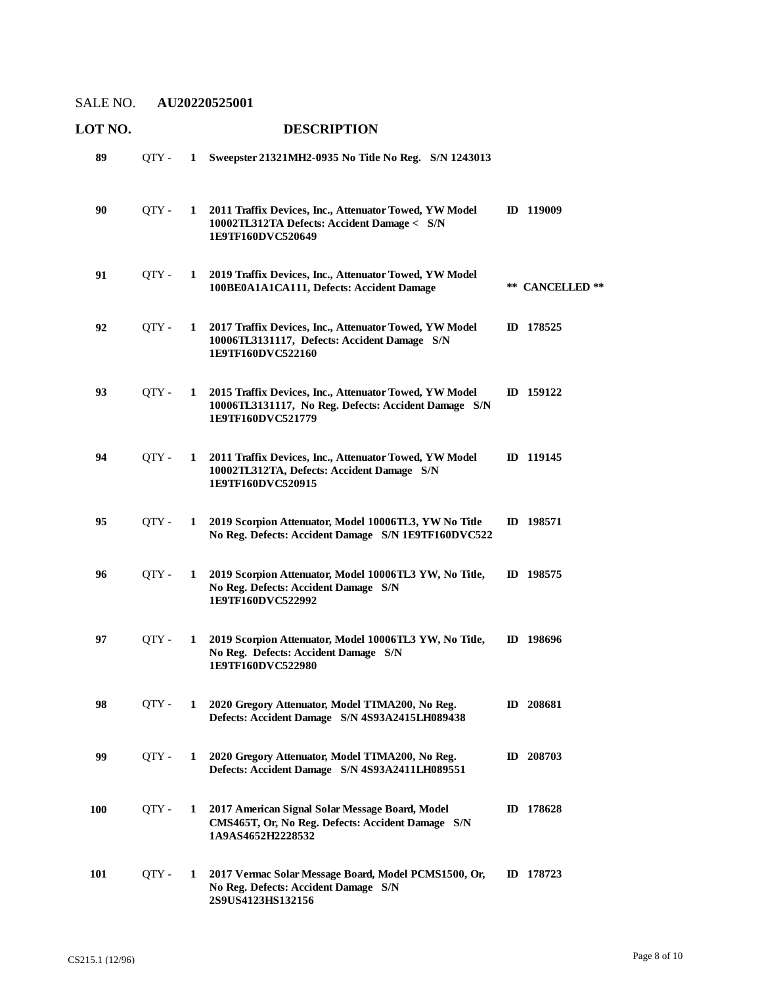| LOT NO. |       |              | <b>DESCRIPTION</b>                                                                                                                  |                 |
|---------|-------|--------------|-------------------------------------------------------------------------------------------------------------------------------------|-----------------|
| 89      | OTY - |              | 1 Sweepster 21321MH2-0935 No Title No Reg. S/N 1243013                                                                              |                 |
| 90      | QTY - |              | 1 2011 Traffix Devices, Inc., Attenuator Towed, YW Model<br>10002TL312TA Defects: Accident Damage < S/N<br>1E9TF160DVC520649        | ID 119009       |
| 91      | QTY - | $\mathbf{1}$ | 2019 Traffix Devices, Inc., Attenuator Towed, YW Model<br>100BE0A1A1CA111, Defects: Accident Damage                                 | ** CANCELLED ** |
| 92      | QTY - | $\mathbf{1}$ | 2017 Traffix Devices, Inc., Attenuator Towed, YW Model<br>10006TL3131117, Defects: Accident Damage S/N<br>1E9TF160DVC522160         | ID 178525       |
| 93      | OTY - | 1            | 2015 Traffix Devices, Inc., Attenuator Towed, YW Model<br>10006TL3131117, No Reg. Defects: Accident Damage S/N<br>1E9TF160DVC521779 | ID 159122       |
| 94      | QTY - | $\mathbf{1}$ | 2011 Traffix Devices, Inc., Attenuator Towed, YW Model<br>10002TL312TA, Defects: Accident Damage S/N<br>1E9TF160DVC520915           | ID 119145       |
| 95      | OTY - | $\mathbf{1}$ | 2019 Scorpion Attenuator, Model 10006TL3, YW No Title<br>No Reg. Defects: Accident Damage S/N 1E9TF160DVC522                        | ID 198571       |
| 96      | OTY - | 1            | 2019 Scorpion Attenuator, Model 10006TL3 YW, No Title,<br>No Reg. Defects: Accident Damage S/N<br>1E9TF160DVC522992                 | ID 198575       |
| 97      | QTY - | 1            | 2019 Scorpion Attenuator, Model 10006TL3 YW, No Title,<br>No Reg. Defects: Accident Damage S/N<br>1E9TF160DVC522980                 | ID 198696       |
| 98      | OTY - | 1            | 2020 Gregory Attenuator, Model TTMA200, No Reg.<br>Defects: Accident Damage S/N 4S93A2415LH089438                                   | ID 208681       |
| 99      | QTY - | 1            | 2020 Gregory Attenuator, Model TTMA200, No Reg.<br>Defects: Accident Damage S/N 4S93A2411LH089551                                   | ID 208703       |
| 100     | OTY - | 1            | 2017 American Signal Solar Message Board, Model<br>CMS465T, Or, No Reg. Defects: Accident Damage S/N<br>1A9AS4652H2228532           | ID 178628       |
| 101     | QTY - | 1            | 2017 Vermac Solar Message Board, Model PCMS1500, Or,<br>No Reg. Defects: Accident Damage S/N<br>2S9US4123HS132156                   | ID 178723       |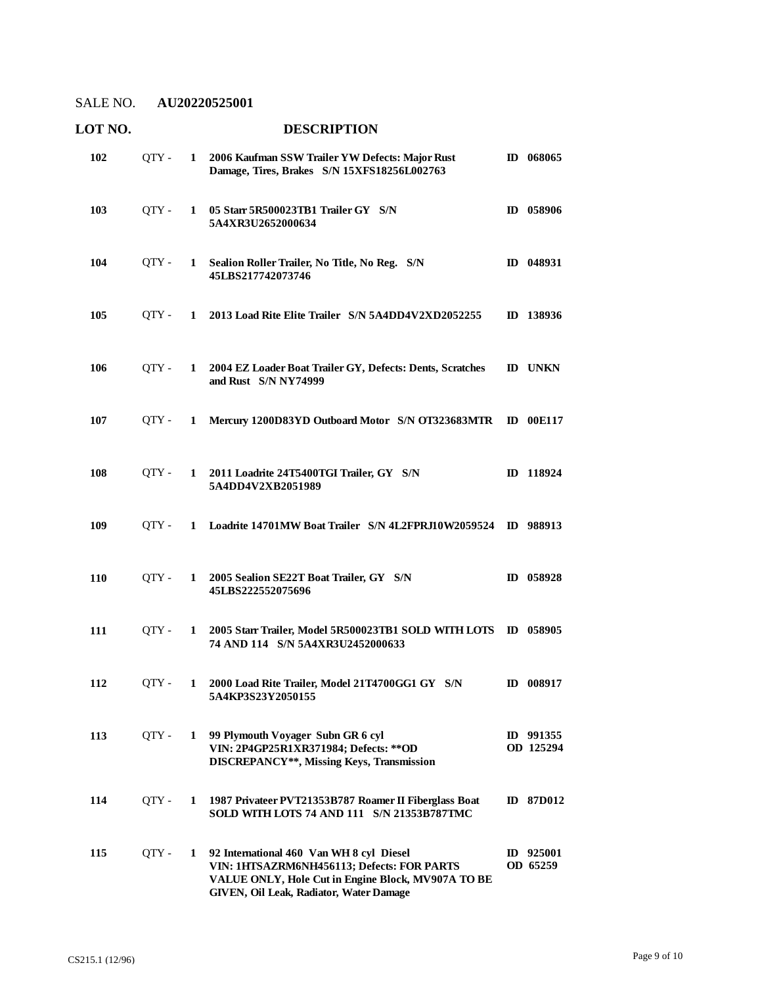| 102 | QTY - |              | 1 2006 Kaufman SSW Trailer YW Defects: Major Rust<br>Damage, Tires, Brakes S/N 15XFS18256L002763                                                                                        | ID 068065              |
|-----|-------|--------------|-----------------------------------------------------------------------------------------------------------------------------------------------------------------------------------------|------------------------|
| 103 | OTY - |              | 1 05 Starr 5R500023TB1 Trailer GY S/N<br>5A4XR3U2652000634                                                                                                                              | ID 058906              |
| 104 | OTY - |              | 1 Sealion Roller Trailer, No Title, No Reg. S/N<br>45LBS217742073746                                                                                                                    | ID 048931              |
| 105 | OTY - |              | 1 2013 Load Rite Elite Trailer S/N 5A4DD4V2XD2052255                                                                                                                                    | ID 138936              |
| 106 | OTY - |              | 1 2004 EZ Loader Boat Trailer GY, Defects: Dents, Scratches<br>and Rust S/N NY74999                                                                                                     | <b>ID UNKN</b>         |
| 107 | OTY - | $\mathbf{1}$ | Mercury 1200D83YD Outboard Motor S/N OT323683MTR                                                                                                                                        | <b>ID</b> 00E117       |
| 108 | OTY - |              | 1 2011 Loadrite 24T5400TGI Trailer, GY S/N<br>5A4DD4V2XB2051989                                                                                                                         | ID 118924              |
| 109 | OTY - |              | 1 Loadrite 14701MW Boat Trailer S/N 4L2FPRJ10W2059524 ID 988913                                                                                                                         |                        |
| 110 | OTY - |              | 1 2005 Sealion SE22T Boat Trailer, GY S/N<br>45LBS222552075696                                                                                                                          | ID 058928              |
| 111 | OTY - | $\mathbf{1}$ | 2005 Starr Trailer, Model 5R500023TB1 SOLD WITH LOTS ID 058905<br>74 AND 114 S/N 5A4XR3U2452000633                                                                                      |                        |
| 112 | QTY - | $\mathbf{1}$ | 2000 Load Rite Trailer, Model 21T4700GG1 GY S/N<br>5A4KP3S23Y2050155                                                                                                                    | ID 008917              |
| 113 | QTY - | 1            | 99 Plymouth Voyager Subn GR 6 cyl<br>VIN: 2P4GP25R1XR371984; Defects: ** OD<br>DISCREPANCY**, Missing Keys, Transmission                                                                | ID 991355<br>OD 125294 |
| 114 | QTY - | 1            | 1987 Privateer PVT21353B787 Roamer II Fiberglass Boat<br>SOLD WITH LOTS 74 AND 111 S/N 21353B787TMC                                                                                     | ID 87D012              |
| 115 | QTY - | 1            | 92 International 460 Van WH 8 cyl Diesel<br>VIN: 1HTSAZRM6NH456113; Defects: FOR PARTS<br>VALUE ONLY, Hole Cut in Engine Block, MV907A TO BE<br>GIVEN, Oil Leak, Radiator, Water Damage | ID 925001<br>OD 65259  |